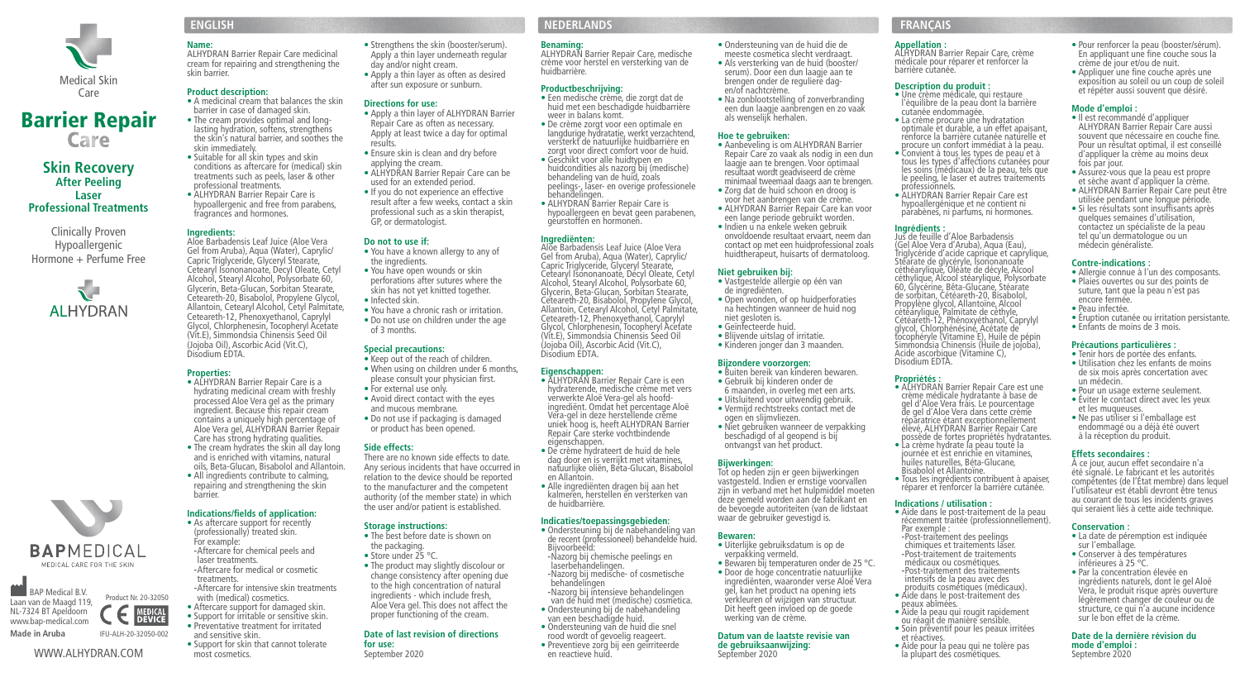

# Barrier RepairCare

## **Skin Recovery After Peeling Laser Professional Treatments**

Clinically Proven Hypoallergenic Hormone + Perfume Free



**BAP Medical B.V.** Laan van de Maagd 119, NL-7324 BT Apeldoorn www.bap-medical.com **Made in Aruba**

WWW.ALHYDRAN.COM

**BAPMEDICAL** MEDICAL CARE FOR THE SKIN

Product Nr. 20-32050

**MEDICAL**<br>**DEVICE** 

IFU-ALH-20-32050-002

# **Name:**

ALHYDRAN Barrier Repair Care medicinal cream for repairing and strengthening the skin barrier.

## **Product description:**

- A medicinal cream that balances the skin barrier in case of damaged skin.
- The cream provides optimal and longlasting hydration, softens, strengthens the skin's natural barrier, and soothes the skin immediately. • Apply a thin layer of ALHYDRAN Barrier Repair Care as often as necessary. Apply at least twice a day for optimal results. • Ensure skin is clean and dry before
- Suitable for all skin types and skin conditions as aftercare for (medical) skin treatments such as peels, laser & other professional treatments.
- ALHYDRAN Barrier Repair Care is hypoallergenic and free from parabens, fragrances and hormones.

# **Ingredients:**

Aloe Barbadensis Leaf Juice (Aloe Vera Gel from Aruba), Aqua (Water), Caprylic/ Capric Triglyceride, Glyceryl Stearate, Cetearyl Isononanoate, Decyl Oleate, Cetyl Alcohol, Stearyl Alcohol, Polysorbate 60, Glycerin, Beta-Glucan, Sorbitan Stearate, Ceteareth-20, Bisabolol, Propylene Glycol, Allantoin, Cetearyl Alcohol, Cetyl Palmitate, Ceteareth-12, Phenoxyethanol, Caprylyl Glycol, Chlorphenesin, Tocopheryl Acetate (Vit.E), Simmondsia Chinensis Seed Oil (Jojoba Oil), Ascorbic Acid (Vit.C), Disodium EDTA.

## **Properties:**

barrier.

- ALHYDRAN Barrier Repair Care is a hydrating medicinal cream with freshly processed Aloe Vera gel as the primary ingredient. Because this repair cream contains a uniquely high percentage of Aloe Vera gel, ALHYDRAN Barrier Repair Care has strong hydrating qualities. • The cream hydrates the skin all day long
- and is enriched with vitamins, natural oils, Beta-Glucan, Bisabolol and Allantoin. • All ingredients contribute to calming.

## **Indications/fields of application:**

- As aftercare support for recently (professionally) treated skin. For example: **-**Aftercare for chemical peels and laser treatments. **-**Aftercare for medical or cosmetic treatments.
- **-**Aftercare for intensive skin treatments with (medical) cosmetics. Aftercare support for damaged skin.
- Support for irritable or sensitive skin. • Preventative treatment for irritated and sensitive skin.
- Support for skin that cannot tolerate most cosmetics.

## **ENGLISH NEDERLANDS FRANÇAIS**

## **Benaming:**

ALHYDRAN Barrier Repair Care, medische crème voor herstel en versterking van de huidbarrière.

## **Productbeschrijving:**

• Een medische crème, die zorgt dat de huid met een beschadigde huidbarrière weer in balans komt.

- De crème zorgt voor een optimale en langdurige hydratatie, werkt verzachtend, versterkt de natuurlijke huidbarrière en zorgt voor direct comfort voor de huid.
- Geschikt voor alle huidtypen en huidcondities als nazorg bij (medische) behandeling van de huid, zoals peelings-, laser- en overige professionele behandelingen.
- ALHYDRAN Barrier Repair Care is hypoallergeen en bevat geen parabenen, geurstoffen en hormonen.

## **Ingrediënten:**

Aloe Barbadensis Leaf Juice (Aloe Vera Gel from Aruba), Aqua (Water), Caprylic/ Capric Triglyceride, Glyceryl Stearate, Cetearyl Isononanoate, Decyl Oleate, Cetyl Alcohol, Stearyl Alcohol, Polysorbate 60, Glycerin, Beta-Glucan, Sorbitan Stearate, Ceteareth-20, Bisabolol, Propylene Glycol, Allantoin, Cetearyl Alcohol, Cetyl Palmitate, Ceteareth-12, Phenoxyethanol, Caprylyl Glycol, Chlorphenesin, Tocopheryl Acetate (Vit.E), Simmondsia Chinensis Seed Oil (Jojoba Oil), Ascorbic Acid (Vit.C), Disodium EDTA.

## **Eigenschappen:**

- ALHYDRAN Barrier Repair Care is een hydraterende, medische crème met vers verwerkte Aloë Vera-gel als hoofdingrediënt. Omdat het percentage Aloë Vera-gel in deze herstellende crème uniek hoog is, heeft ALHYDRAN Barrier Repair Care sterke vochtbindende eigenschappen.
- De crème hydrateert de huid de hele dag door en is verrijkt met vitamines, natuurlijke oliën, Beta-Glucan, Bisabolol en Allantoin.
- Alle ingrediënten dragen bij aan het kalmeren, herstellen en versterken van de huidbarrière.

## **Indicaties/toepassingsgebieden:**

- Ondersteuning bij de nabehandeling van de recent (professioneel) behandelde huid.
- Bijvoorbeeld:
- **-**Nazorg bij chemische peelings en laserbehandelingen.
- 
- 
- **-**Nazorg bij medische- of cosmetische behandelingen
- van de huid met (medische) cosmetica.<br>• Ondersteuning bij de nabehandeling
- van een beschadigde huid.
- Ondersteuning van de huid die snel rood wordt of gevoelig reageert. • Preventieve zorg bij een geïrriteerde
- en reactieve huid.

## **Appellation :**

ALHYDRAN Barrier Repair Care, crème médicale pour réparer et renforcer la barrière cutanée.

# **Description du produit :**  • Une crème médicale, qui restaure

- l'équilibre de la peau dont la barrière cutanée endommagée. • La crème procure une hydratation optimale et durable, a un effet apaisant, renforce la barrière cutanée naturelle et procure un confort immédiat à la peau.
	- Convient à tous les types de peau et à tous les types d'affections cutanées pour les soins (médicaux) de la peau, tels que le peeling, le laser et autres traitements professionnels.
	- ALHYDRAN Barrier Repair Care est hypoallergénique et ne contient ni parabènes, ni parfums, ni hormones.

## **Ingrédients :**

Jus de feuille d'Aloe Barbadensis (Gel Aloe Vera d'Aruba), Aqua (Eau), Triglycéride d'acide caprique et caprylique, Stéarate de glycéryle, Isononanoate céthéarylique, Oléate de décyle, Alcool céthylique, Alcool stéarylique, Polysorbate 60, Glycérine, Bêta-Glucane, Stéarate de sorbitan, Cétéareth-20, Bisabolol, Propylène glycol, Allantoïne, Alcool cétéarylique, Palmitate de céthyle, Cétéareth-12, Phénoxyéthanol, Caprylyl glycol, Chlorphénésine, Acétate de tocophéryle (Vitamine E), Huile de pépin Simmondsia Chinensis (Huile de jojoba), Acide ascorbique (Vitamine C), Disodium EDTA.

## **Propriétés :**

Par exemple :

peaux abîmées.

et réactives.

- ALHYDRAN Barrier Repair Care est une crème médicale hydratante à base de gel d'Aloe Vera frais. Le pourcentage de gel d'Aloe Vera dans cette crème réparatrice étant exceptionnellement élevé, ALHYDRAN Barrier Repair Care possède de fortes propriétés hydratantes. • La crème hydrate la peau toute la
- journée et ést enrichie en vitamines. huiles naturelles, Béta-Glucane,

**-**Post-traitement des peelings chimiques et traitements laser. **-**Post-traitement de traitements médicaux ou cosmétiques.

**-**Post-traitement des traitements intensifs de la peau avec des produits cosmétiques (médicaux). • Aide dans le post-traitement des

• Aide pour la peau qui ne tolère pas la plupart des cosmétiques.

Bisabolol et Allantoïne. • Tous les ingrédients contribuent à apaiser,

réparer et renforcer la barrière cutanée. **Indications / utilisation :**  • Aide dans le post-traitement de la peau récemment traitée (professionnellement). Tot op heden zijn er geen bijwerkingen vastgesteld. Indien er ernstige voorvallen zijn in verband met het hulpmiddel moeten deze gemeld worden aan de fabrikant en de bevoegde autoriteiten (van de lidstaat waar de gebruiker gevestigd is.

## **Bewaren:**

• Uiterlijke gebruiksdatum is op de verpakking vermeld.

• Ondersteuning van de huid die de meeste cosmetica slecht verdraagt. • Als versterking van de huid (booster/ serum). Door een dun laagje aan te brengen onder de reguliere dag-

• Na zonblootstelling of zonverbranding een dun laagje aanbrengen en zo vaak

• Aanbeveling is om ALHYDRAN Barrier Repair Care zo vaak als nodig in een dun laagje aan te brengen. Voor optimaal resultaat wordt geadviseerd de crème minimaal tweemaal daags aan te brengen. • Zorg dat de huid schoon en droog is voor het aanbrengen van de crème. • ALHYDRAN Barrier Repair Care kan voor een lange periode gebruikt worden. • Indien u na enkele weken gebruik onvoldoende resultaat ervaart, neem dan contact op met een huidprofessional zoals huidtherapeut, huisarts of dermatoloog.

en/of nachtcrème.

**Niet gebruiken bij:** 

de ingrediënten.

niet gesloten is. • Geïnfecteerde huid. • Blijvende uitslag of irritatie. • Kinderen jonger dan 3 maanden.

**Bijzondere voorzorgen:** 

ogen en slijmvliezen.

**Bijwerkingen:**

• Vastgestelde allergie op één van

• Open wonden, of op huidperforaties na hechtingen wanneer de huid nog

• Buiten bereik van kinderen bewaren. • Gebruik bij kinderen onder de 6 maanden, in overleg met een arts. • Uitsluitend voor uitwendig gebruik. • Vermijd rechtstreeks contact met de

• Niet gebruiken wanneer de verpakking beschadigd of al geopend is bij ontvangst van het product.

als wenselijk herhalen. **Hoe te gebruiken:** 

- Bewaren bij temperaturen onder de 25 °C. • Door de hoge concentratie natuurlijke ingrediënten, waaronder verse Aloë Vera gel, kan het product na opening iets verkleuren of wijzigen van structuur. Dit heeft geen invloed op de goede
- Aide la peau qui rougit rapidement ou réagit de manière sensible. • Soin préventif pour les peaux irritées werking van de crème.

### **Datum van de laatste revisie van de gebruiksaanwijzing:** September 2020

• Pour renforcer la peau (booster/sérum). En appliquant une fine couche sous la crème de jour et/ou de nuit.

• Appliquer une fine couche après une exposition au soleil ou un coup de soleil et répéter aussi souvent que désiré.

- **Mode d'emploi :<br>● Il est recommandé d'appliquer** ALHYDRAN Barrier Repair Care aussi souvent que nécessaire en couche fine. Pour un résultat optimal, il est conseillé d'appliquer la crème au moins deux fois par jour. • Assurez-vous que la peau est propre
- et sèche avant d'appliquer la crème. • ALHYDRAN Barrier Repair Care peut être
- utilisée pendant une longue période. • Si les résultats sont insuffisants après
- contactez un spécialiste de la peau tel qu'un dermatologue ou un médecin généraliste.

## **Contre-indications :**

- Allergie connue à l'un des composants. • Plaies ouvertes ou sur des points de suture, tant que la peau n'est pas encore fermée.
- Peau infectée.
- Éruption cutanée ou irritation persistante. • Enfants de moins de 3 mois.

## **Précautions particulières :**

- Tenir hors de portée des enfants. • Utilisation chez les enfants de moins de six mois après concertation avec un médecin.
- Pour un usage externe seulement. • Éviter le contact direct avec les yeux
- et les muqueuses.<br>• Ne pas utiliser si l'emballage est endommagé ou a déjà été ouvert à la réception du produit.

## **Effets secondaires :**

À ce jour, aucun effet secondaire n'a été signalé. Le fabricant et les autorités compétentes (de l'État membre) dans lequel l'utilisateur est établi devront être tenus au courant de tous les incidents graves qui seraient liés à cette aide technique.

## **Conservation :**

- La date de péremption est indiquée sur l'emballage.
- Conserver à des températures inférieures à 25 °C.<br>• Par la concentration élevée en
- ingrédients naturels, dont le gel Aloë Vera, le produit risque après ouverture légèrement changer de couleur ou de structure, ce qui n'a aucune incidence sur le bon effet de la crème.

### **Date de la dernière révision du mode d'emploi :**  Septembre 2020

• Strengthens the skin (booster/serum). Apply a thin layer underneath regular

• ALHYDRAN Barrier Repair Care can be used for an extended period. • If you do not experience an effective result after a few weeks, contact a skin professional such as a skin therapist,

• You have a known allergy to any of

• You have a chronic rash or irritation. • Do not use on children under the age

• Keep out of the reach of children. • When using on children under 6 months. please consult your physician first.

• Avoid direct contact with the eyes and mucous membrane. • Do not use if packaging is damaged or product has been opened.

• You have open wounds or skin perforations after sutures where the skin has not yet knitted together.

day and/or night cream. • Apply a thin layer as often as desired after sun exposure or sunburn.

**Directions for use:**

applying the cream.

GP, or dermatologist. **Do not to use if:** 

the ingredients.

• Infected skin.

of 3 months. **Special precautions:** 

• For external use only.

change consistency after opening due to the high concentration of natural ingredients - which include fresh,

# proper functioning of the cream.

## **Date of last revision of directions**

**for use:** September 2020

repairing and strengthening the skin There are no known side effects to date. Any serious incidents that have occurred in relation to the device should be reported to the manufacturer and the competent authority (of the member state) in which the user and/or patient is established. **Storage instructions:** 

**Side effects:** 

- The best before date is shown on
	- the packaging.
	- Store under 25 °C. • The product may slightly discolour or

# Aloe Vera gel. This does not affect the